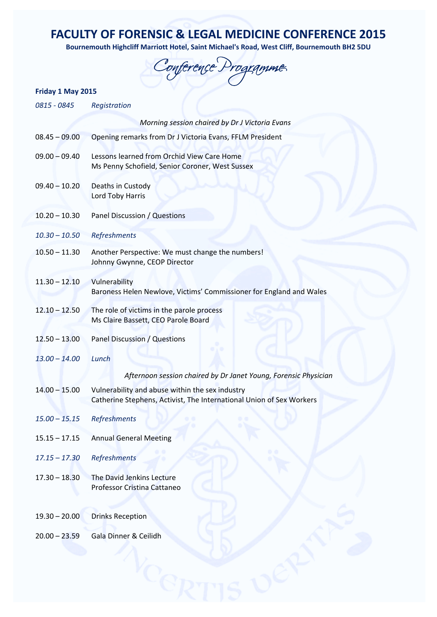## **FACULTY OF FORENSIC & LEGAL MEDICINE CONFERENCE 2015**

**Bournemouth Highcliff Marriott Hotel, Saint Michael's Road, West Cliff, Bournemouth BH2 5DU**

*Conference Programme* 

# **Friday 1 May 2015** *0815 ‐ 0845 Registration Morning session chaired by Dr J Victoria Evans* 08.45 – 09.00 Opening remarks from Dr J Victoria Evans, FFLM President 09.00 – 09.40 Lessons learned from Orchid View Care Home Ms Penny Schofield, Senior Coroner, West Sussex 09.40 – 10.20 Deaths in Custody Lord Toby Harris 10.20 – 10.30 Panel Discussion / Questions *10.30 – 10.50 Refreshments*  10.50 – 11.30 Another Perspective: We must change the numbers! Johnny Gwynne, CEOP Director 11.30 – 12.10 Vulnerability Baroness Helen Newlove, Victims' Commissioner for England and Wales 12.10 – 12.50 The role of victims in the parole process Ms Claire Bassett, CEO Parole Board 12.50 – 13.00 Panel Discussion / Questions *13.00 – 14.00 Lunch Afternoon session chaired by Dr Janet Young, Forensic Physician*  14.00 – 15.00 Vulnerability and abuse within the sex industry Catherine Stephens, Activist, The International Union of Sex Workers *15.00 – 15.15 Refreshments*  15.15 – 17.15 Annual General Meeting *17.15 – 17.30 Refreshments*  17.30 – 18.30 The David Jenkins Lecture Professor Cristina Cattaneo 19.30 – 20.00 Drinks Reception

20.00 – 23.59 Gala Dinner & Ceilidh